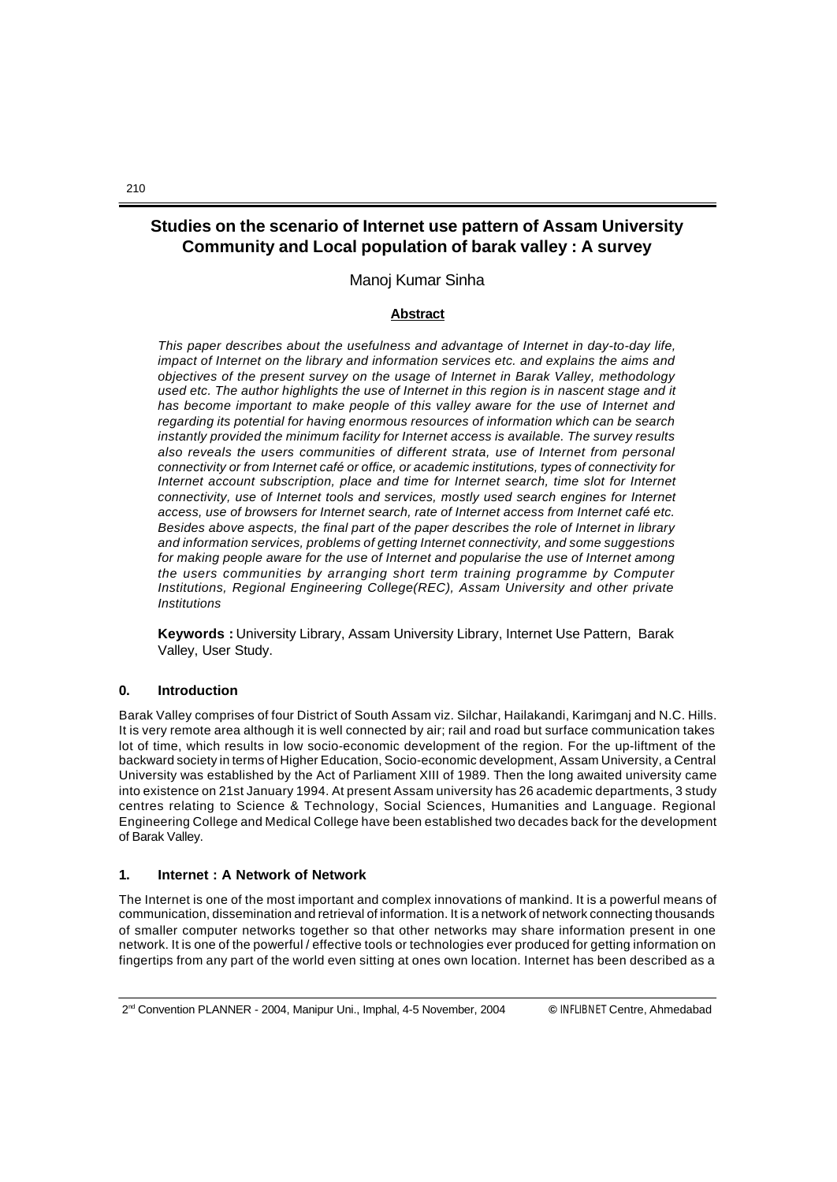# **Studies on the scenario of Internet use pattern of Assam University Community and Local population of barak valley : A survey**

Manoj Kumar Sinha

# **Abstract**

*This paper describes about the usefulness and advantage of Internet in day-to-day life, impact of Internet on the library and information services etc. and explains the aims and objectives of the present survey on the usage of Internet in Barak Valley, methodology used etc. The author highlights the use of Internet in this region is in nascent stage and it has become important to make people of this valley aware for the use of Internet and regarding its potential for having enormous resources of information which can be search instantly provided the minimum facility for Internet access is available. The survey results also reveals the users communities of different strata, use of Internet from personal connectivity or from Internet café or office, or academic institutions, types of connectivity for Internet account subscription, place and time for Internet search, time slot for Internet connectivity, use of Internet tools and services, mostly used search engines for Internet access, use of browsers for Internet search, rate of Internet access from Internet café etc. Besides above aspects, the final part of the paper describes the role of Internet in library and information services, problems of getting Internet connectivity, and some suggestions for making people aware for the use of Internet and popularise the use of Internet among the users communities by arranging short term training programme by Computer Institutions, Regional Engineering College(REC), Assam University and other private Institutions*

**Keywords :** University Library, Assam University Library, Internet Use Pattern, Barak Valley, User Study.

### **0. Introduction**

Barak Valley comprises of four District of South Assam viz. Silchar, Hailakandi, Karimganj and N.C. Hills. It is very remote area although it is well connected by air; rail and road but surface communication takes lot of time, which results in low socio-economic development of the region. For the up-liftment of the backward society in terms of Higher Education, Socio-economic development, Assam University, a Central University was established by the Act of Parliament XIII of 1989. Then the long awaited university came into existence on 21st January 1994. At present Assam university has 26 academic departments, 3 study centres relating to Science & Technology, Social Sciences, Humanities and Language. Regional Engineering College and Medical College have been established two decades back for the development of Barak Valley.

### **1. Internet : A Network of Network**

The Internet is one of the most important and complex innovations of mankind. It is a powerful means of communication, dissemination and retrieval of information. It is a network of network connecting thousands of smaller computer networks together so that other networks may share information present in one network. It is one of the powerful / effective tools or technologies ever produced for getting information on fingertips from any part of the world even sitting at ones own location. Internet has been described as a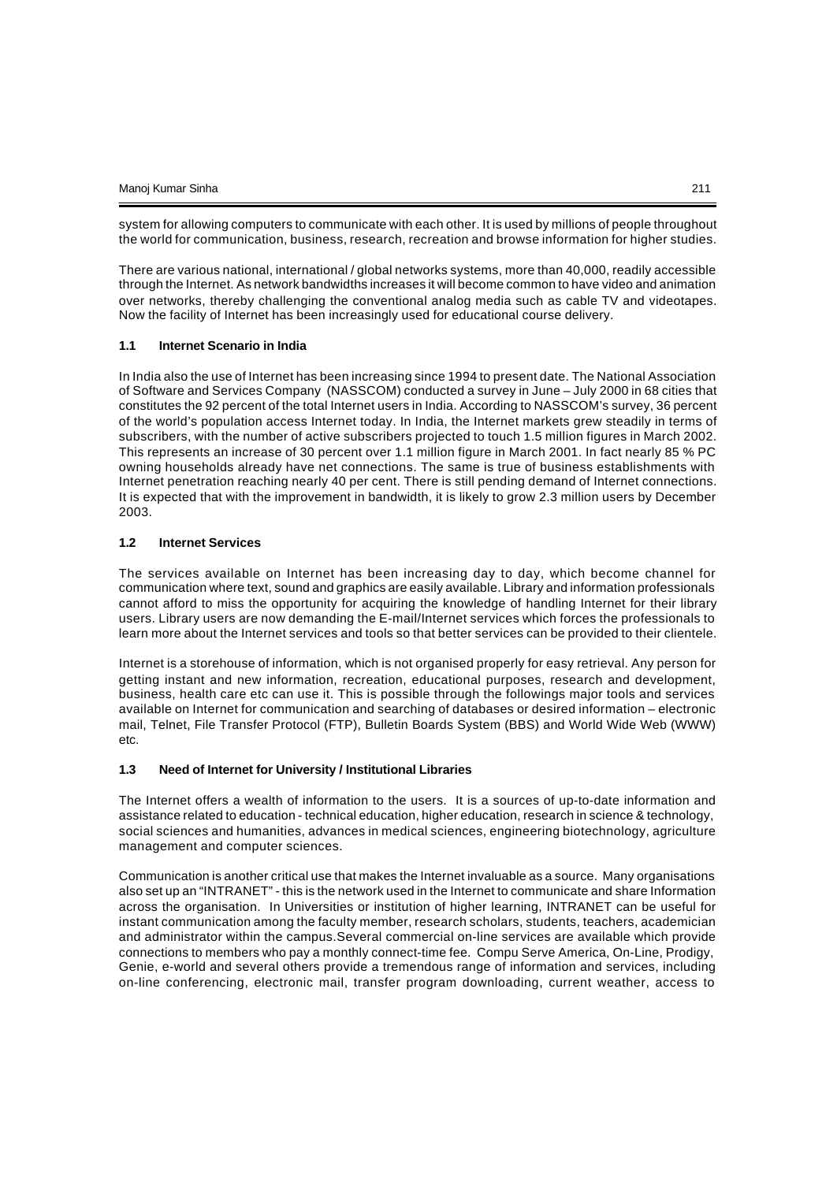system for allowing computers to communicate with each other. It is used by millions of people throughout the world for communication, business, research, recreation and browse information for higher studies.

There are various national, international / global networks systems, more than 40,000, readily accessible through the Internet. As network bandwidths increases it will become common to have video and animation over networks, thereby challenging the conventional analog media such as cable TV and videotapes. Now the facility of Internet has been increasingly used for educational course delivery.

#### **1.1 Internet Scenario in India**

In India also the use of Internet has been increasing since 1994 to present date. The National Association of Software and Services Company (NASSCOM) conducted a survey in June – July 2000 in 68 cities that constitutes the 92 percent of the total Internet users in India. According to NASSCOM's survey, 36 percent of the world's population access Internet today. In India, the Internet markets grew steadily in terms of subscribers, with the number of active subscribers projected to touch 1.5 million figures in March 2002. This represents an increase of 30 percent over 1.1 million figure in March 2001. In fact nearly 85 % PC owning households already have net connections. The same is true of business establishments with Internet penetration reaching nearly 40 per cent. There is still pending demand of Internet connections. It is expected that with the improvement in bandwidth, it is likely to grow 2.3 million users by December 2003.

#### **1.2 Internet Services**

The services available on Internet has been increasing day to day, which become channel for communication where text, sound and graphics are easily available. Library and information professionals cannot afford to miss the opportunity for acquiring the knowledge of handling Internet for their library users. Library users are now demanding the E-mail/Internet services which forces the professionals to learn more about the Internet services and tools so that better services can be provided to their clientele.

Internet is a storehouse of information, which is not organised properly for easy retrieval. Any person for getting instant and new information, recreation, educational purposes, research and development, business, health care etc can use it. This is possible through the followings major tools and services available on Internet for communication and searching of databases or desired information – electronic mail, Telnet, File Transfer Protocol (FTP), Bulletin Boards System (BBS) and World Wide Web (WWW) etc.

### **1.3 Need of Internet for University / Institutional Libraries**

The Internet offers a wealth of information to the users. It is a sources of up-to-date information and assistance related to education - technical education, higher education, research in science & technology, social sciences and humanities, advances in medical sciences, engineering biotechnology, agriculture management and computer sciences.

Communication is another critical use that makes the Internet invaluable as a source. Many organisations also set up an "INTRANET" - this is the network used in the Internet to communicate and share Information across the organisation. In Universities or institution of higher learning, INTRANET can be useful for instant communication among the faculty member, research scholars, students, teachers, academician and administrator within the campus.Several commercial on-line services are available which provide connections to members who pay a monthly connect-time fee. Compu Serve America, On-Line, Prodigy, Genie, e-world and several others provide a tremendous range of information and services, including on-line conferencing, electronic mail, transfer program downloading, current weather, access to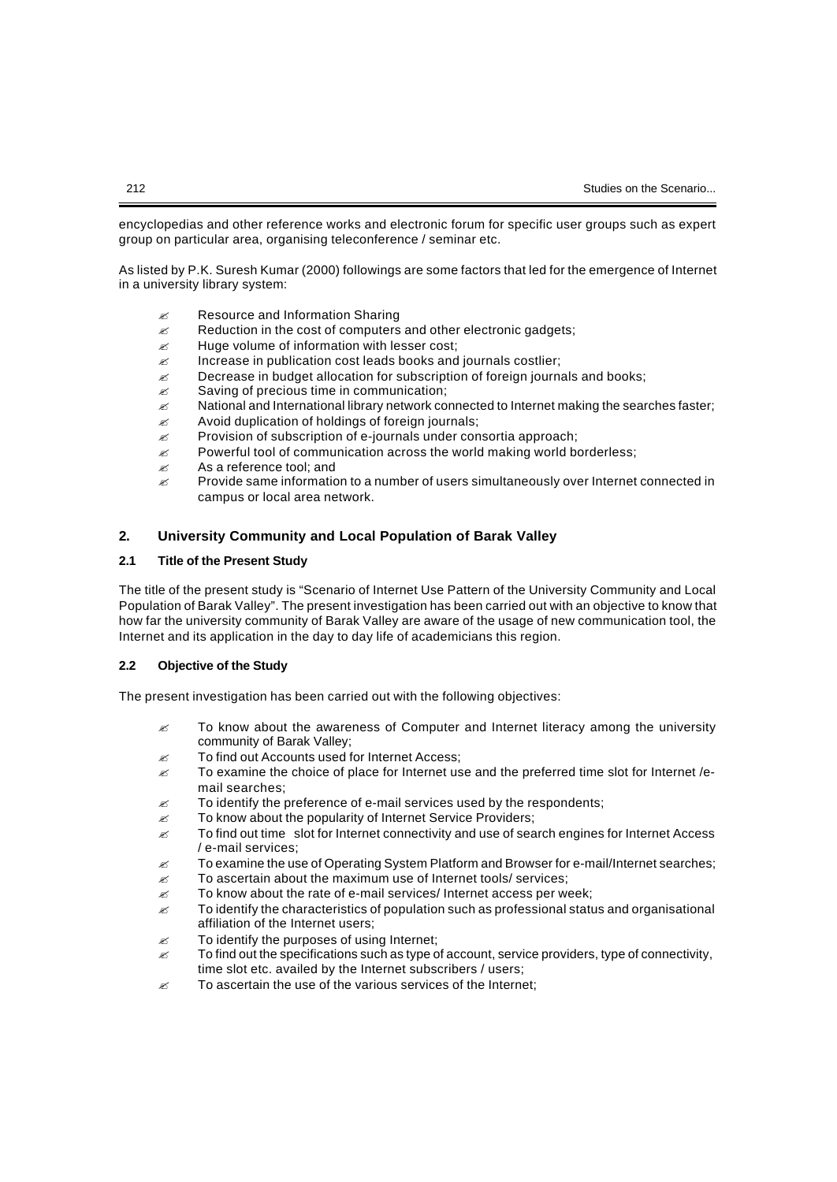encyclopedias and other reference works and electronic forum for specific user groups such as expert group on particular area, organising teleconference / seminar etc.

As listed by P.K. Suresh Kumar (2000) followings are some factors that led for the emergence of Internet in a university library system:

- $\mathscr{E}$  Resource and Information Sharing
- $\mathscr{L}$  Reduction in the cost of computers and other electronic gadgets;
- $\mathbb Z$  Huge volume of information with lesser cost;
- $\mathscr{L}$  Increase in publication cost leads books and journals costlier;
- $\mathscr{L}$  Decrease in budget allocation for subscription of foreign journals and books;
- $\mathscr{E}$  Saving of precious time in communication;
- $\approx$  National and International library network connected to Internet making the searches faster;
- $\mathscr{L}$  Avoid duplication of holdings of foreign journals;
- $\mathscr{L}$  Provision of subscription of e-journals under consortia approach;
- $\mathscr{L}$  Powerful tool of communication across the world making world borderless;
- $\approx$  As a reference tool; and
- $\mathscr{L}$  Provide same information to a number of users simultaneously over Internet connected in campus or local area network.

### **2. University Community and Local Population of Barak Valley**

### **2.1 Title of the Present Study**

The title of the present study is "Scenario of Internet Use Pattern of the University Community and Local Population of Barak Valley". The present investigation has been carried out with an objective to know that how far the university community of Barak Valley are aware of the usage of new communication tool, the Internet and its application in the day to day life of academicians this region.

### **2.2 Objective of the Study**

The present investigation has been carried out with the following objectives:

- $\mathscr Z$  To know about the awareness of Computer and Internet literacy among the university community of Barak Valley;
- $\mathscr{E}$  To find out Accounts used for Internet Access:
- $\approx$  To examine the choice of place for Internet use and the preferred time slot for Internet /email searches;
- $\mathscr{\mathscr{E}}$  To identify the preference of e-mail services used by the respondents;
- $\mathscr{C}$  To know about the popularity of Internet Service Providers;
- $\approx$  To find out time slot for Internet connectivity and use of search engines for Internet Access / e-mail services;
- $\approx$  To examine the use of Operating System Platform and Browser for e-mail/Internet searches;
- $\mathscr{L}$  To ascertain about the maximum use of Internet tools/ services;
- $\mathscr{L}$  To know about the rate of e-mail services/ Internet access per week;
- $\approx$  To identify the characteristics of population such as professional status and organisational affiliation of the Internet users;
- $\epsilon$  To identify the purposes of using Internet;
- $\mathscr{\mathscr{E}}$  To find out the specifications such as type of account, service providers, type of connectivity, time slot etc. availed by the Internet subscribers / users;
- $\mathscr{L}$  To ascertain the use of the various services of the Internet;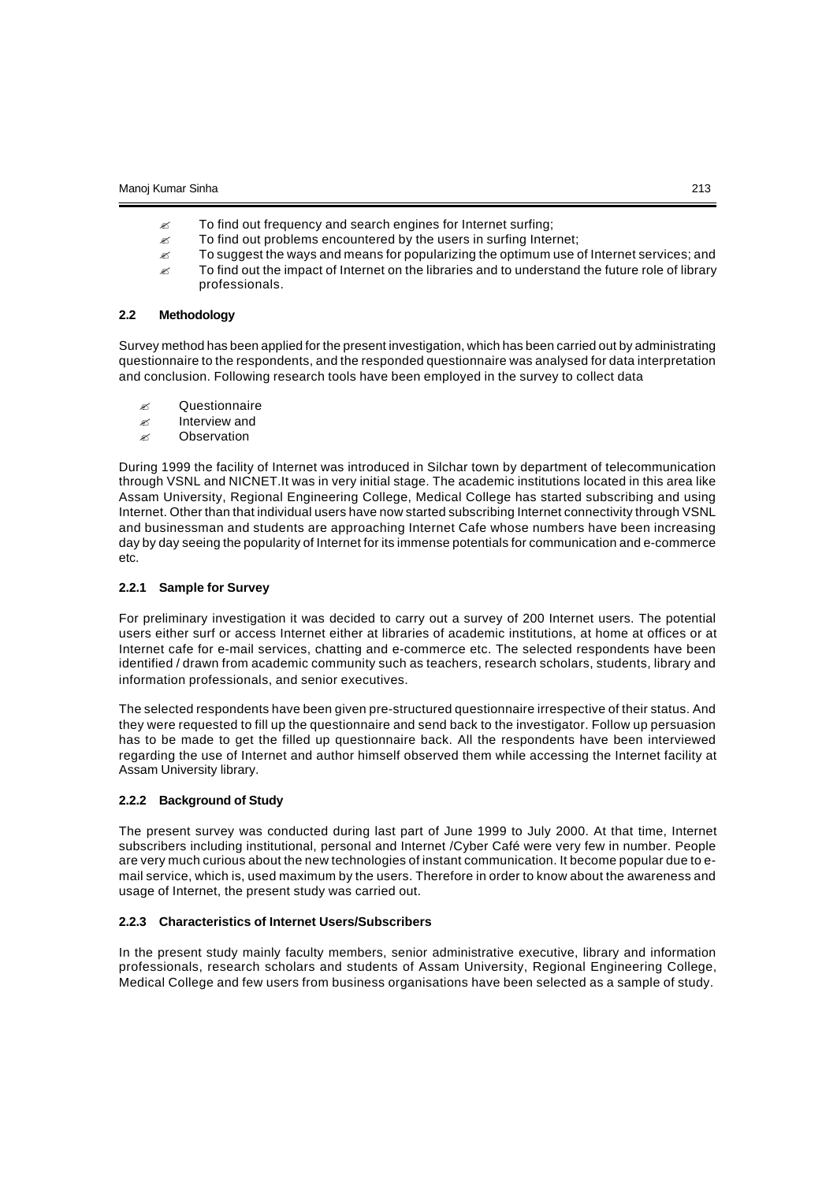- $\mathscr{L}$  To find out frequency and search engines for Internet surfing;
- $\mathbb{Z}$  To find out problems encountered by the users in surfing Internet;
- $\epsilon$  To suggest the ways and means for popularizing the optimum use of Internet services; and
- $\mathscr Z$  To find out the impact of Internet on the libraries and to understand the future role of library professionals.

### **2.2 Methodology**

Survey method has been applied for the present investigation, which has been carried out by administrating questionnaire to the respondents, and the responded questionnaire was analysed for data interpretation and conclusion. Following research tools have been employed in the survey to collect data

- $\mathscr{\mathscr{E}}$  Questionnaire
- $\ll$  Interview and
- $\mathscr{\mathscr{A}}$  Observation

During 1999 the facility of Internet was introduced in Silchar town by department of telecommunication through VSNL and NICNET.It was in very initial stage. The academic institutions located in this area like Assam University, Regional Engineering College, Medical College has started subscribing and using Internet. Other than that individual users have now started subscribing Internet connectivity through VSNL and businessman and students are approaching Internet Cafe whose numbers have been increasing day by day seeing the popularity of Internet for its immense potentials for communication and e-commerce etc.

#### **2.2.1 Sample for Survey**

For preliminary investigation it was decided to carry out a survey of 200 Internet users. The potential users either surf or access Internet either at libraries of academic institutions, at home at offices or at Internet cafe for e-mail services, chatting and e-commerce etc. The selected respondents have been identified / drawn from academic community such as teachers, research scholars, students, library and information professionals, and senior executives.

The selected respondents have been given pre-structured questionnaire irrespective of their status. And they were requested to fill up the questionnaire and send back to the investigator. Follow up persuasion has to be made to get the filled up questionnaire back. All the respondents have been interviewed regarding the use of Internet and author himself observed them while accessing the Internet facility at Assam University library.

#### **2.2.2 Background of Study**

The present survey was conducted during last part of June 1999 to July 2000. At that time, Internet subscribers including institutional, personal and Internet /Cyber Café were very few in number. People are very much curious about the new technologies of instant communication. It become popular due to email service, which is, used maximum by the users. Therefore in order to know about the awareness and usage of Internet, the present study was carried out.

#### **2.2.3 Characteristics of Internet Users/Subscribers**

In the present study mainly faculty members, senior administrative executive, library and information professionals, research scholars and students of Assam University, Regional Engineering College, Medical College and few users from business organisations have been selected as a sample of study.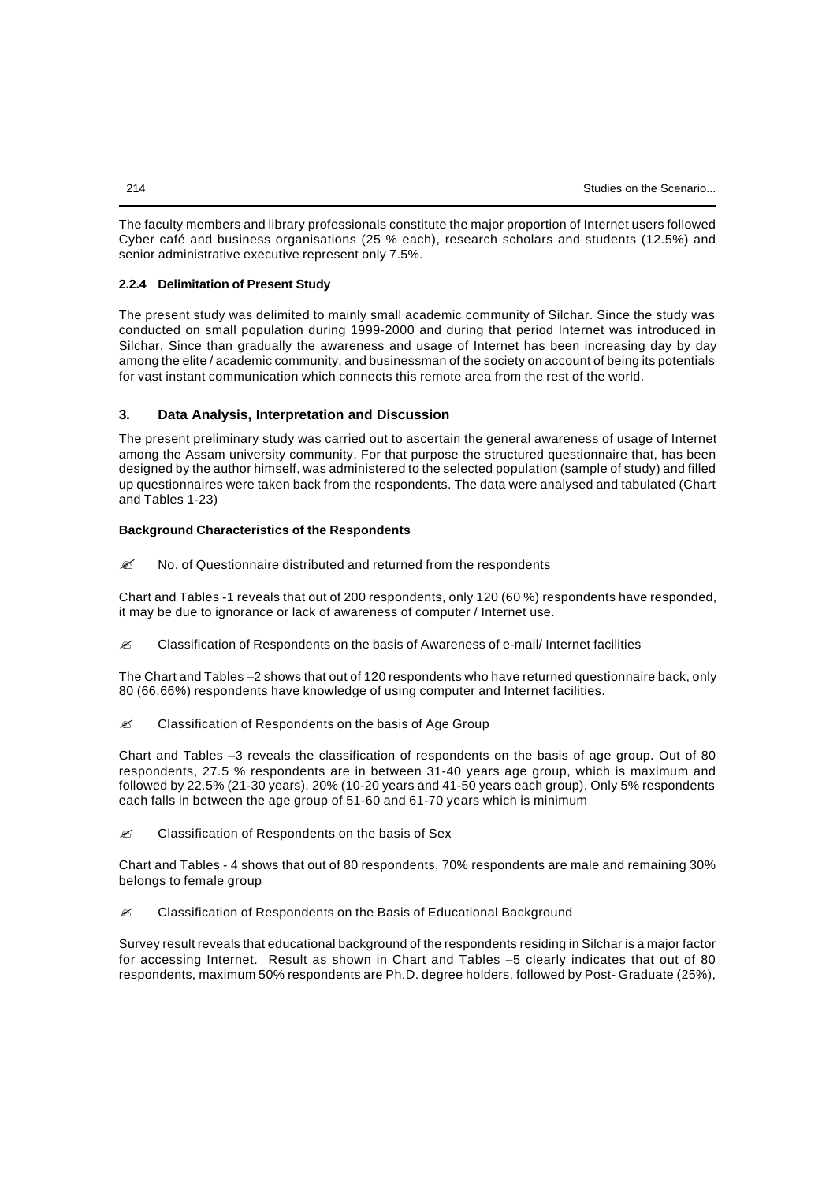The faculty members and library professionals constitute the major proportion of Internet users followed Cyber café and business organisations (25 % each), research scholars and students (12.5%) and senior administrative executive represent only 7.5%.

### **2.2.4 Delimitation of Present Study**

The present study was delimited to mainly small academic community of Silchar. Since the study was conducted on small population during 1999-2000 and during that period Internet was introduced in Silchar. Since than gradually the awareness and usage of Internet has been increasing day by day among the elite / academic community, and businessman of the society on account of being its potentials for vast instant communication which connects this remote area from the rest of the world.

### **3. Data Analysis, Interpretation and Discussion**

The present preliminary study was carried out to ascertain the general awareness of usage of Internet among the Assam university community. For that purpose the structured questionnaire that, has been designed by the author himself, was administered to the selected population (sample of study) and filled up questionnaires were taken back from the respondents. The data were analysed and tabulated (Chart and Tables 1-23)

#### **Background Characteristics of the Respondents**

 $\mathscr{L}$  No. of Questionnaire distributed and returned from the respondents

Chart and Tables -1 reveals that out of 200 respondents, only 120 (60 %) respondents have responded, it may be due to ignorance or lack of awareness of computer / Internet use.

 $\mathscr{\mathscr{L}}$  Classification of Respondents on the basis of Awareness of e-mail/ Internet facilities

The Chart and Tables –2 shows that out of 120 respondents who have returned questionnaire back, only 80 (66.66%) respondents have knowledge of using computer and Internet facilities.

 $\mathscr{L}$  Classification of Respondents on the basis of Age Group

Chart and Tables –3 reveals the classification of respondents on the basis of age group. Out of 80 respondents, 27.5 % respondents are in between 31-40 years age group, which is maximum and followed by 22.5% (21-30 years), 20% (10-20 years and 41-50 years each group). Only 5% respondents each falls in between the age group of 51-60 and 61-70 years which is minimum

 $\mathscr{L}$  Classification of Respondents on the basis of Sex

Chart and Tables - 4 shows that out of 80 respondents, 70% respondents are male and remaining 30% belongs to female group

**<u>
</u>
Z**Classification of Respondents on the Basis of Educational Background

Survey result reveals that educational background of the respondents residing in Silchar is a major factor for accessing Internet. Result as shown in Chart and Tables –5 clearly indicates that out of 80 respondents, maximum 50% respondents are Ph.D. degree holders, followed by Post- Graduate (25%),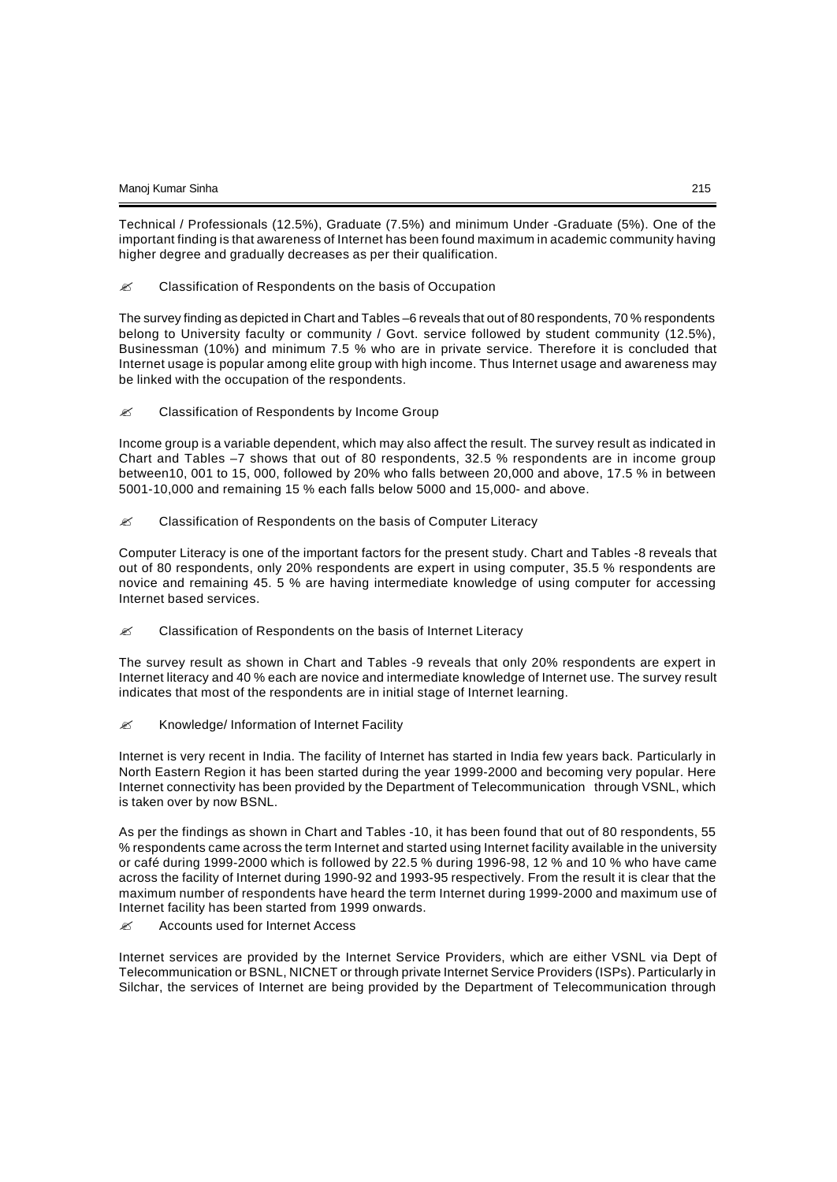Technical / Professionals (12.5%), Graduate (7.5%) and minimum Under -Graduate (5%). One of the important finding is that awareness of Internet has been found maximum in academic community having higher degree and gradually decreases as per their qualification.

 $\mathscr{L}$  Classification of Respondents on the basis of Occupation

The survey finding as depicted in Chart and Tables –6 reveals that out of 80 respondents, 70 % respondents belong to University faculty or community / Govt. service followed by student community (12.5%), Businessman (10%) and minimum 7.5 % who are in private service. Therefore it is concluded that Internet usage is popular among elite group with high income. Thus Internet usage and awareness may be linked with the occupation of the respondents.

 $\mathscr{L}$  Classification of Respondents by Income Group

Income group is a variable dependent, which may also affect the result. The survey result as indicated in Chart and Tables –7 shows that out of 80 respondents, 32.5 % respondents are in income group between10, 001 to 15, 000, followed by 20% who falls between 20,000 and above, 17.5 % in between 5001-10,000 and remaining 15 % each falls below 5000 and 15,000- and above.

**EX** Classification of Respondents on the basis of Computer Literacy

Computer Literacy is one of the important factors for the present study. Chart and Tables -8 reveals that out of 80 respondents, only 20% respondents are expert in using computer, 35.5 % respondents are novice and remaining 45. 5 % are having intermediate knowledge of using computer for accessing Internet based services.

 $\mathscr{L}$  Classification of Respondents on the basis of Internet Literacy

The survey result as shown in Chart and Tables -9 reveals that only 20% respondents are expert in Internet literacy and 40 % each are novice and intermediate knowledge of Internet use. The survey result indicates that most of the respondents are in initial stage of Internet learning.

 $\mathscr{L}$  Knowledge/ Information of Internet Facility

Internet is very recent in India. The facility of Internet has started in India few years back. Particularly in North Eastern Region it has been started during the year 1999-2000 and becoming very popular. Here Internet connectivity has been provided by the Department of Telecommunication through VSNL, which is taken over by now BSNL.

As per the findings as shown in Chart and Tables -10, it has been found that out of 80 respondents, 55 % respondents came across the term Internet and started using Internet facility available in the university or café during 1999-2000 which is followed by 22.5 % during 1996-98, 12 % and 10 % who have came across the facility of Internet during 1990-92 and 1993-95 respectively. From the result it is clear that the maximum number of respondents have heard the term Internet during 1999-2000 and maximum use of Internet facility has been started from 1999 onwards.

 $≤$  Accounts used for Internet Access

Internet services are provided by the Internet Service Providers, which are either VSNL via Dept of Telecommunication or BSNL, NICNET or through private Internet Service Providers (ISPs). Particularly in Silchar, the services of Internet are being provided by the Department of Telecommunication through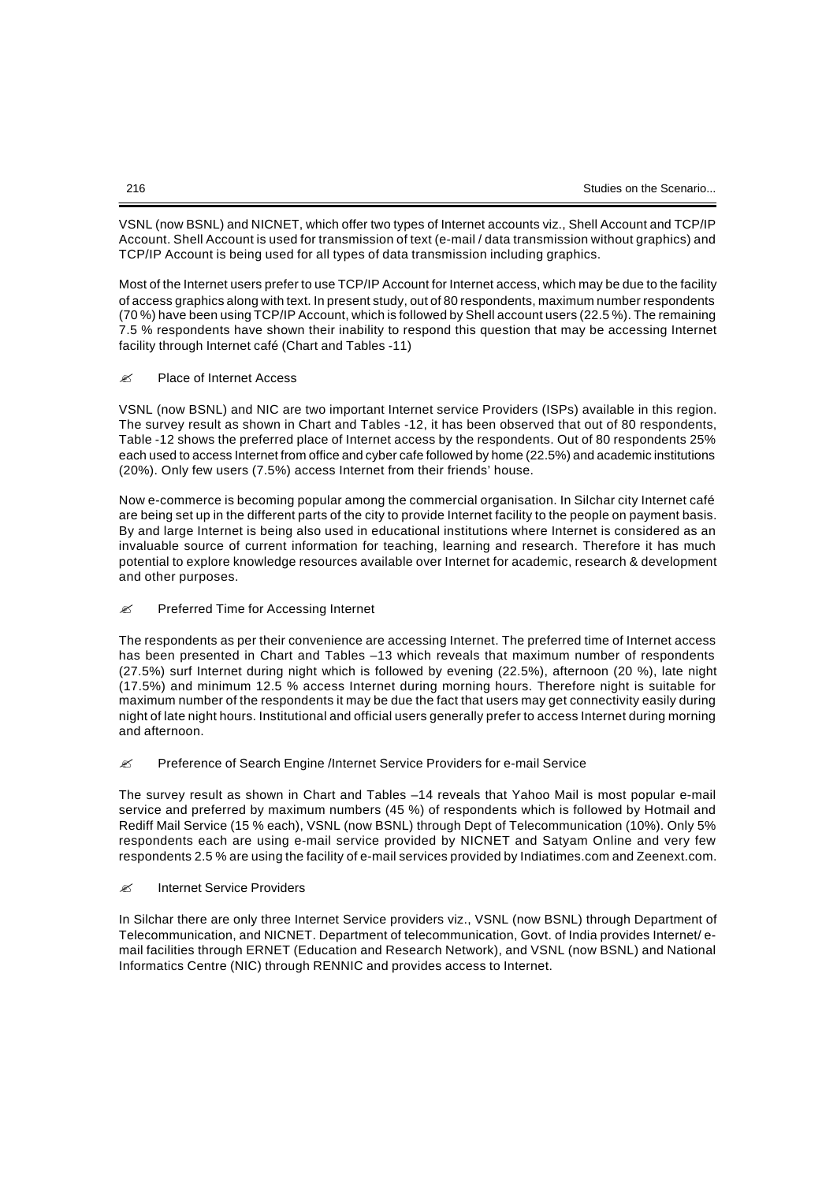VSNL (now BSNL) and NICNET, which offer two types of Internet accounts viz., Shell Account and TCP/IP Account. Shell Account is used for transmission of text (e-mail / data transmission without graphics) and TCP/IP Account is being used for all types of data transmission including graphics.

Most of the Internet users prefer to use TCP/IP Account for Internet access, which may be due to the facility of access graphics along with text. In present study, out of 80 respondents, maximum number respondents (70 %) have been using TCP/IP Account, which is followed by Shell account users (22.5 %). The remaining 7.5 % respondents have shown their inability to respond this question that may be accessing Internet facility through Internet café (Chart and Tables -11)

### ? Place of Internet Access

VSNL (now BSNL) and NIC are two important Internet service Providers (ISPs) available in this region. The survey result as shown in Chart and Tables -12, it has been observed that out of 80 respondents, Table -12 shows the preferred place of Internet access by the respondents. Out of 80 respondents 25% each used to access Internet from office and cyber cafe followed by home (22.5%) and academic institutions (20%). Only few users (7.5%) access Internet from their friends' house.

Now e-commerce is becoming popular among the commercial organisation. In Silchar city Internet café are being set up in the different parts of the city to provide Internet facility to the people on payment basis. By and large Internet is being also used in educational institutions where Internet is considered as an invaluable source of current information for teaching, learning and research. Therefore it has much potential to explore knowledge resources available over Internet for academic, research & development and other purposes.

#### $≤$  Preferred Time for Accessing Internet

The respondents as per their convenience are accessing Internet. The preferred time of Internet access has been presented in Chart and Tables –13 which reveals that maximum number of respondents (27.5%) surf Internet during night which is followed by evening (22.5%), afternoon (20 %), late night (17.5%) and minimum 12.5 % access Internet during morning hours. Therefore night is suitable for maximum number of the respondents it may be due the fact that users may get connectivity easily during night of late night hours. Institutional and official users generally prefer to access Internet during morning and afternoon.

#### $\mathscr{L}$  Preference of Search Engine /Internet Service Providers for e-mail Service

The survey result as shown in Chart and Tables –14 reveals that Yahoo Mail is most popular e-mail service and preferred by maximum numbers (45 %) of respondents which is followed by Hotmail and Rediff Mail Service (15 % each), VSNL (now BSNL) through Dept of Telecommunication (10%). Only 5% respondents each are using e-mail service provided by NICNET and Satyam Online and very few respondents 2.5 % are using the facility of e-mail services provided by Indiatimes.com and Zeenext.com.

### ? Internet Service Providers

In Silchar there are only three Internet Service providers viz., VSNL (now BSNL) through Department of Telecommunication, and NICNET. Department of telecommunication, Govt. of India provides Internet/ email facilities through ERNET (Education and Research Network), and VSNL (now BSNL) and National Informatics Centre (NIC) through RENNIC and provides access to Internet.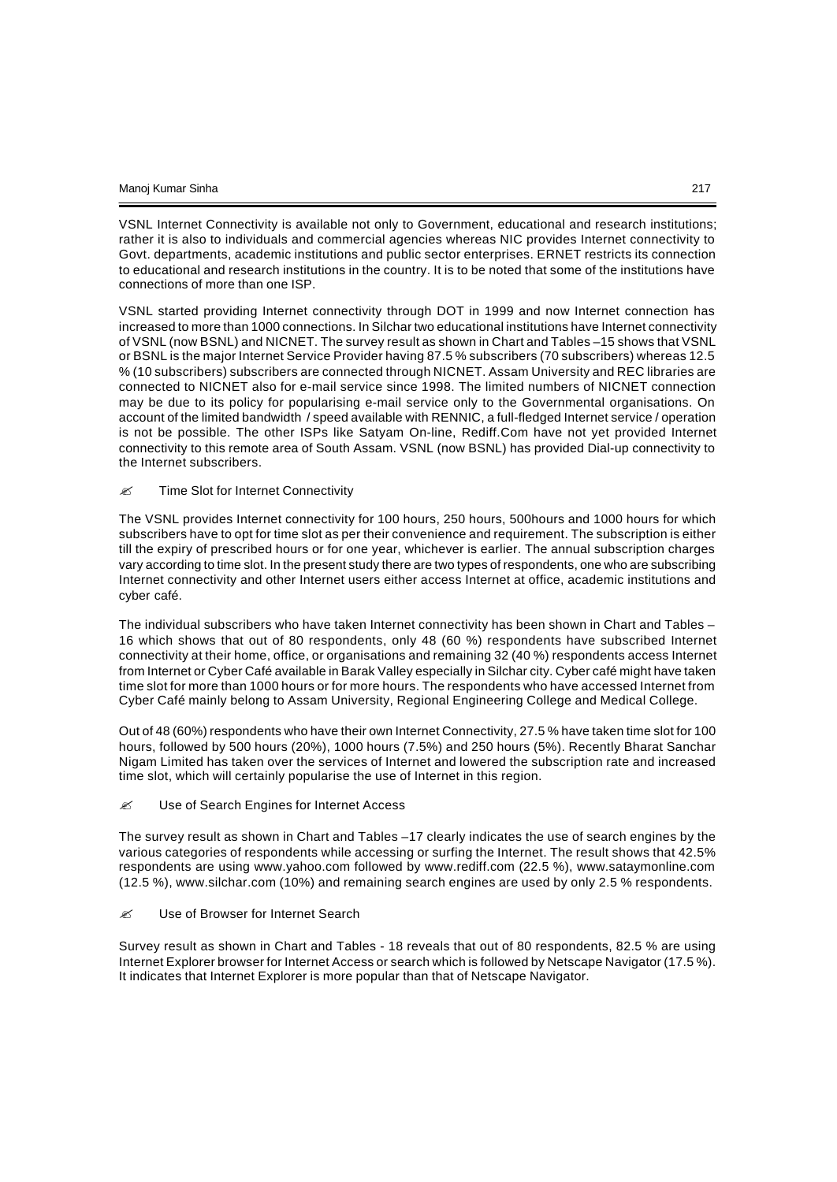VSNL Internet Connectivity is available not only to Government, educational and research institutions; rather it is also to individuals and commercial agencies whereas NIC provides Internet connectivity to Govt. departments, academic institutions and public sector enterprises. ERNET restricts its connection to educational and research institutions in the country. It is to be noted that some of the institutions have connections of more than one ISP.

VSNL started providing Internet connectivity through DOT in 1999 and now Internet connection has increased to more than 1000 connections. In Silchar two educational institutions have Internet connectivity of VSNL (now BSNL) and NICNET. The survey result as shown in Chart and Tables –15 shows that VSNL or BSNL is the major Internet Service Provider having 87.5 % subscribers (70 subscribers) whereas 12.5 % (10 subscribers) subscribers are connected through NICNET. Assam University and REC libraries are connected to NICNET also for e-mail service since 1998. The limited numbers of NICNET connection may be due to its policy for popularising e-mail service only to the Governmental organisations. On account of the limited bandwidth / speed available with RENNIC, a full-fledged Internet service / operation is not be possible. The other ISPs like Satyam On-line, Rediff.Com have not yet provided Internet connectivity to this remote area of South Assam. VSNL (now BSNL) has provided Dial-up connectivity to the Internet subscribers.

#### $\mathscr{L}$  Time Slot for Internet Connectivity

The VSNL provides Internet connectivity for 100 hours, 250 hours, 500hours and 1000 hours for which subscribers have to opt for time slot as per their convenience and requirement. The subscription is either till the expiry of prescribed hours or for one year, whichever is earlier. The annual subscription charges vary according to time slot. In the present study there are two types of respondents, one who are subscribing Internet connectivity and other Internet users either access Internet at office, academic institutions and cyber café.

The individual subscribers who have taken Internet connectivity has been shown in Chart and Tables – 16 which shows that out of 80 respondents, only 48 (60 %) respondents have subscribed Internet connectivity at their home, office, or organisations and remaining 32 (40 %) respondents access Internet from Internet or Cyber Café available in Barak Valley especially in Silchar city. Cyber café might have taken time slot for more than 1000 hours or for more hours. The respondents who have accessed Internet from Cyber Café mainly belong to Assam University, Regional Engineering College and Medical College.

Out of 48 (60%) respondents who have their own Internet Connectivity, 27.5 % have taken time slot for 100 hours, followed by 500 hours (20%), 1000 hours (7.5%) and 250 hours (5%). Recently Bharat Sanchar Nigam Limited has taken over the services of Internet and lowered the subscription rate and increased time slot, which will certainly popularise the use of Internet in this region.

#### **EX** Use of Search Engines for Internet Access

The survey result as shown in Chart and Tables –17 clearly indicates the use of search engines by the various categories of respondents while accessing or surfing the Internet. The result shows that 42.5% respondents are using www.yahoo.com followed by www.rediff.com (22.5 %), www.sataymonline.com (12.5 %), www.silchar.com (10%) and remaining search engines are used by only 2.5 % respondents.

### **Ø** Use of Browser for Internet Search

Survey result as shown in Chart and Tables - 18 reveals that out of 80 respondents, 82.5 % are using Internet Explorer browser for Internet Access or search which is followed by Netscape Navigator (17.5 %). It indicates that Internet Explorer is more popular than that of Netscape Navigator.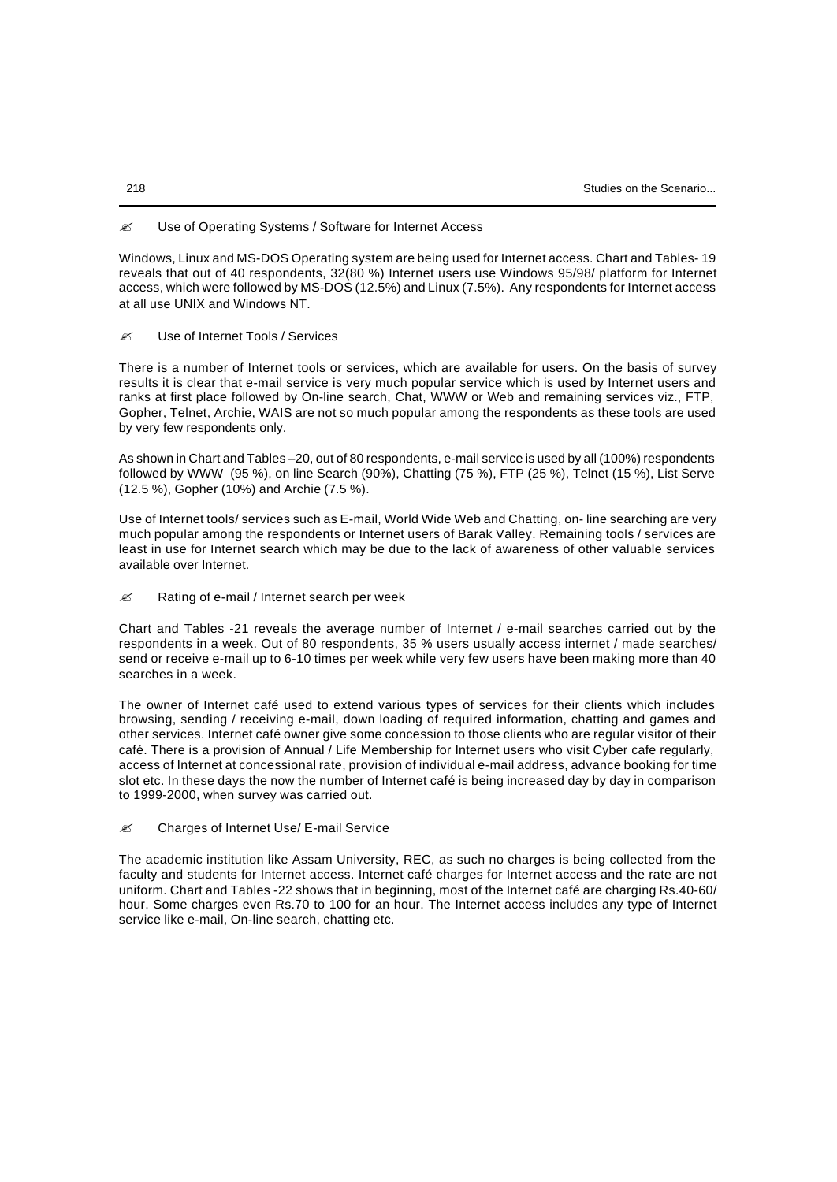### **EX** Use of Operating Systems / Software for Internet Access

Windows, Linux and MS-DOS Operating system are being used for Internet access. Chart and Tables- 19 reveals that out of 40 respondents, 32(80 %) Internet users use Windows 95/98/ platform for Internet access, which were followed by MS-DOS (12.5%) and Linux (7.5%). Any respondents for Internet access at all use UNIX and Windows NT.

### $\mathscr{R}$  Use of Internet Tools / Services

There is a number of Internet tools or services, which are available for users. On the basis of survey results it is clear that e-mail service is very much popular service which is used by Internet users and ranks at first place followed by On-line search, Chat, WWW or Web and remaining services viz., FTP, Gopher, Telnet, Archie, WAIS are not so much popular among the respondents as these tools are used by very few respondents only.

As shown in Chart and Tables –20, out of 80 respondents, e-mail service is used by all (100%) respondents followed by WWW (95 %), on line Search (90%), Chatting (75 %), FTP (25 %), Telnet (15 %), List Serve (12.5 %), Gopher (10%) and Archie (7.5 %).

Use of Internet tools/ services such as E-mail, World Wide Web and Chatting, on- line searching are very much popular among the respondents or Internet users of Barak Valley. Remaining tools / services are least in use for Internet search which may be due to the lack of awareness of other valuable services available over Internet.

 $≤$  Rating of e-mail / Internet search per week

Chart and Tables -21 reveals the average number of Internet / e-mail searches carried out by the respondents in a week. Out of 80 respondents, 35 % users usually access internet / made searches/ send or receive e-mail up to 6-10 times per week while very few users have been making more than 40 searches in a week.

The owner of Internet café used to extend various types of services for their clients which includes browsing, sending / receiving e-mail, down loading of required information, chatting and games and other services. Internet café owner give some concession to those clients who are regular visitor of their café. There is a provision of Annual / Life Membership for Internet users who visit Cyber cafe regularly, access of Internet at concessional rate, provision of individual e-mail address, advance booking for time slot etc. In these days the now the number of Internet café is being increased day by day in comparison to 1999-2000, when survey was carried out.

 $≤$  Charges of Internet Use/ E-mail Service

The academic institution like Assam University, REC, as such no charges is being collected from the faculty and students for Internet access. Internet café charges for Internet access and the rate are not uniform. Chart and Tables -22 shows that in beginning, most of the Internet café are charging Rs.40-60/ hour. Some charges even Rs.70 to 100 for an hour. The Internet access includes any type of Internet service like e-mail, On-line search, chatting etc.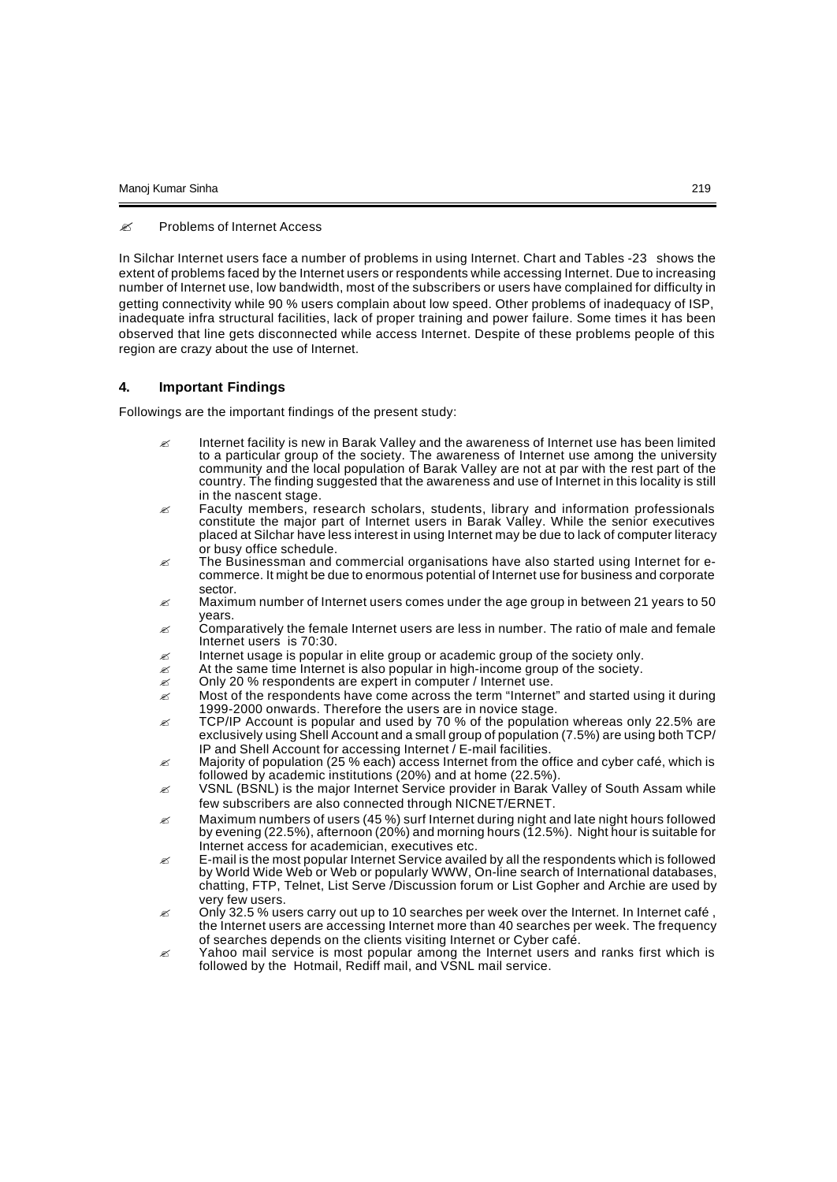#### ? Problems of Internet Access

In Silchar Internet users face a number of problems in using Internet. Chart and Tables -23 shows the extent of problems faced by the Internet users or respondents while accessing Internet. Due to increasing number of Internet use, low bandwidth, most of the subscribers or users have complained for difficulty in getting connectivity while 90 % users complain about low speed. Other problems of inadequacy of ISP, inadequate infra structural facilities, lack of proper training and power failure. Some times it has been observed that line gets disconnected while access Internet. Despite of these problems people of this region are crazy about the use of Internet.

### **4. Important Findings**

Followings are the important findings of the present study:

- $\mathscr A$  Internet facility is new in Barak Valley and the awareness of Internet use has been limited to a particular group of the society. The awareness of Internet use among the university community and the local population of Barak Valley are not at par with the rest part of the country. The finding suggested that the awareness and use of Internet in this locality is still in the nascent stage.
- $\approx$  Faculty members, research scholars, students, library and information professionals constitute the major part of Internet users in Barak Valley. While the senior executives placed at Silchar have less interest in using Internet may be due to lack of computer literacy or busy office schedule.
- $\mathscr Z$  The Businessman and commercial organisations have also started using Internet for ecommerce. It might be due to enormous potential of Internet use for business and corporate sector.
- ? Maximum number of Internet users comes under the age group in between 21 years to 50 years.
- $\epsilon$  Comparatively the female Internet users are less in number. The ratio of male and female Internet users is 70:30.
- $\mathscr{\mathscr{E}}$  Internet usage is popular in elite group or academic group of the society only.
- $\approx$  At the same time Internet is also popular in high-income group of the society.
- $\mathscr{L}$  Only 20 % respondents are expert in computer / Internet use.
- $\mathscr A$  Most of the respondents have come across the term "Internet" and started using it during 1999-2000 onwards. Therefore the users are in novice stage.
- $\approx$  TCP/IP Account is popular and used by 70 % of the population whereas only 22.5% are exclusively using Shell Account and a small group of population (7.5%) are using both TCP/ IP and Shell Account for accessing Internet / E-mail facilities.
- $\approx$  Majority of population (25 % each) access Internet from the office and cyber café, which is followed by academic institutions (20%) and at home (22.5%).
- $\mathscr{L}$  VSNL (BSNL) is the major Internet Service provider in Barak Valley of South Assam while few subscribers are also connected through NICNET/ERNET.
- $\mathscr A$  Maximum numbers of users (45 %) surf Internet during night and late night hours followed by evening (22.5%), afternoon (20%) and morning hours (12.5%). Night hour is suitable for Internet access for academician, executives etc.
- $\epsilon$  E-mail is the most popular Internet Service availed by all the respondents which is followed by World Wide Web or Web or popularly WWW, On-line search of International databases, chatting, FTP, Telnet, List Serve /Discussion forum or List Gopher and Archie are used by very few users.
- $\approx$  Only 32.5 % users carry out up to 10 searches per week over the Internet. In Internet café , the Internet users are accessing Internet more than 40 searches per week. The frequency of searches depends on the clients visiting Internet or Cyber café.
- $\mathscr Z$  Yahoo mail service is most popular among the Internet users and ranks first which is followed by the Hotmail, Rediff mail, and VSNL mail service.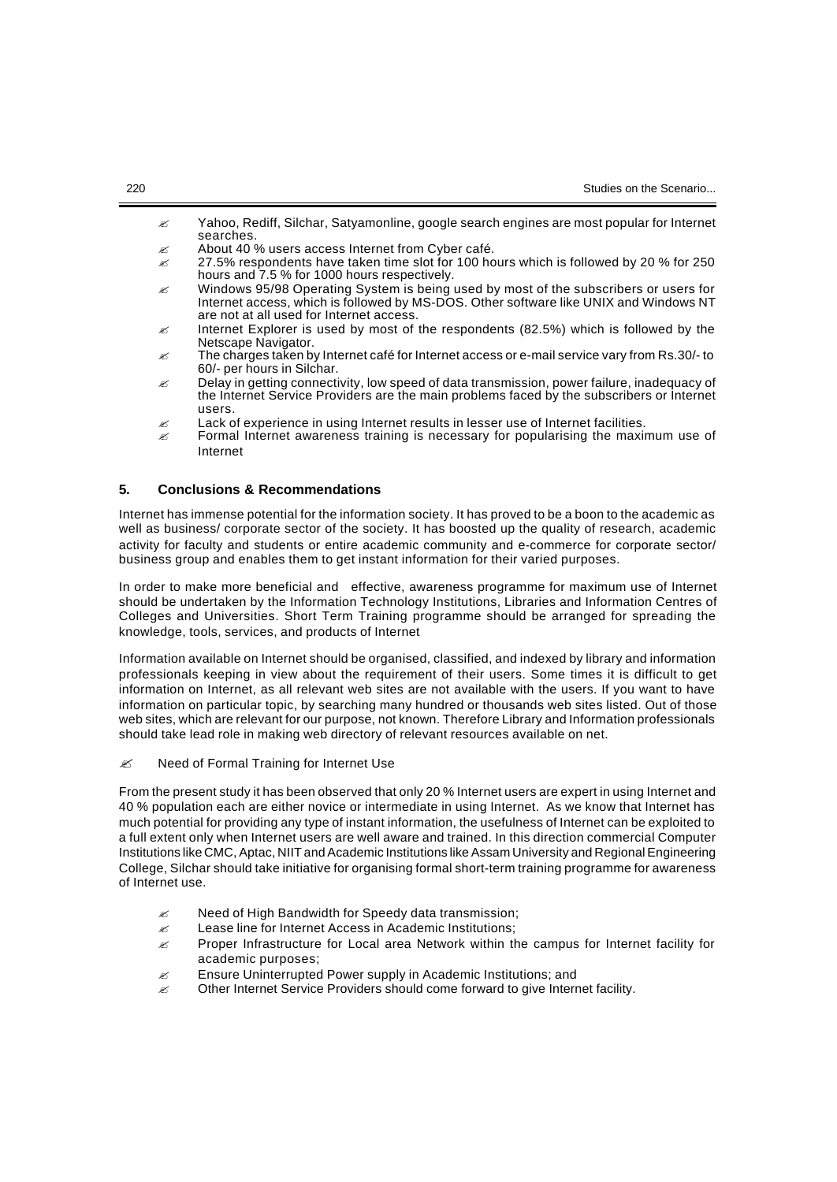- $\mathscr A$  Yahoo, Rediff, Silchar, Satyamonline, google search engines are most popular for Internet searches.
- $\mathscr{L}$  About 40 % users access Internet from Cyber café.
- $\approx$  27.5% respondents have taken time slot for 100 hours which is followed by 20 % for 250 hours and 7.5 % for 1000 hours respectively.
- $\mathscr Z$  Windows 95/98 Operating System is being used by most of the subscribers or users for Internet access, which is followed by MS-DOS. Other software like UNIX and Windows NT are not at all used for Internet access.
- $\approx$  Internet Explorer is used by most of the respondents (82.5%) which is followed by the Netscape Navigator.
- $\approx$  The charges taken by Internet café for Internet access or e-mail service vary from Rs.30/- to 60/- per hours in Silchar.
- $\approx$  Delay in getting connectivity, low speed of data transmission, power failure, inadequacy of the Internet Service Providers are the main problems faced by the subscribers or Internet users.
- $\epsilon$  Lack of experience in using Internet results in lesser use of Internet facilities.
- $\epsilon$  Formal Internet awareness training is necessary for popularising the maximum use of Internet

# **5. Conclusions & Recommendations**

Internet has immense potential for the information society. It has proved to be a boon to the academic as well as business/ corporate sector of the society. It has boosted up the quality of research, academic activity for faculty and students or entire academic community and e-commerce for corporate sector/ business group and enables them to get instant information for their varied purposes.

In order to make more beneficial and effective, awareness programme for maximum use of Internet should be undertaken by the Information Technology Institutions, Libraries and Information Centres of Colleges and Universities. Short Term Training programme should be arranged for spreading the knowledge, tools, services, and products of Internet

Information available on Internet should be organised, classified, and indexed by library and information professionals keeping in view about the requirement of their users. Some times it is difficult to get information on Internet, as all relevant web sites are not available with the users. If you want to have information on particular topic, by searching many hundred or thousands web sites listed. Out of those web sites, which are relevant for our purpose, not known. Therefore Library and Information professionals should take lead role in making web directory of relevant resources available on net.

 $\mathscr{L}$  Need of Formal Training for Internet Use

From the present study it has been observed that only 20 % Internet users are expert in using Internet and 40 % population each are either novice or intermediate in using Internet. As we know that Internet has much potential for providing any type of instant information, the usefulness of Internet can be exploited to a full extent only when Internet users are well aware and trained. In this direction commercial Computer Institutions like CMC, Aptac, NIIT and Academic Institutions like Assam University and Regional Engineering College, Silchar should take initiative for organising formal short-term training programme for awareness of Internet use.

- Need of High Bandwidth for Speedy data transmission;
- $\mathscr{L}$  Lease line for Internet Access in Academic Institutions;
- $\mathscr A$  Proper Infrastructure for Local area Network within the campus for Internet facility for academic purposes;
- $\mathscr{L}$  Ensure Uninterrupted Power supply in Academic Institutions; and
- $\mathscr{L}$  Other Internet Service Providers should come forward to give Internet facility.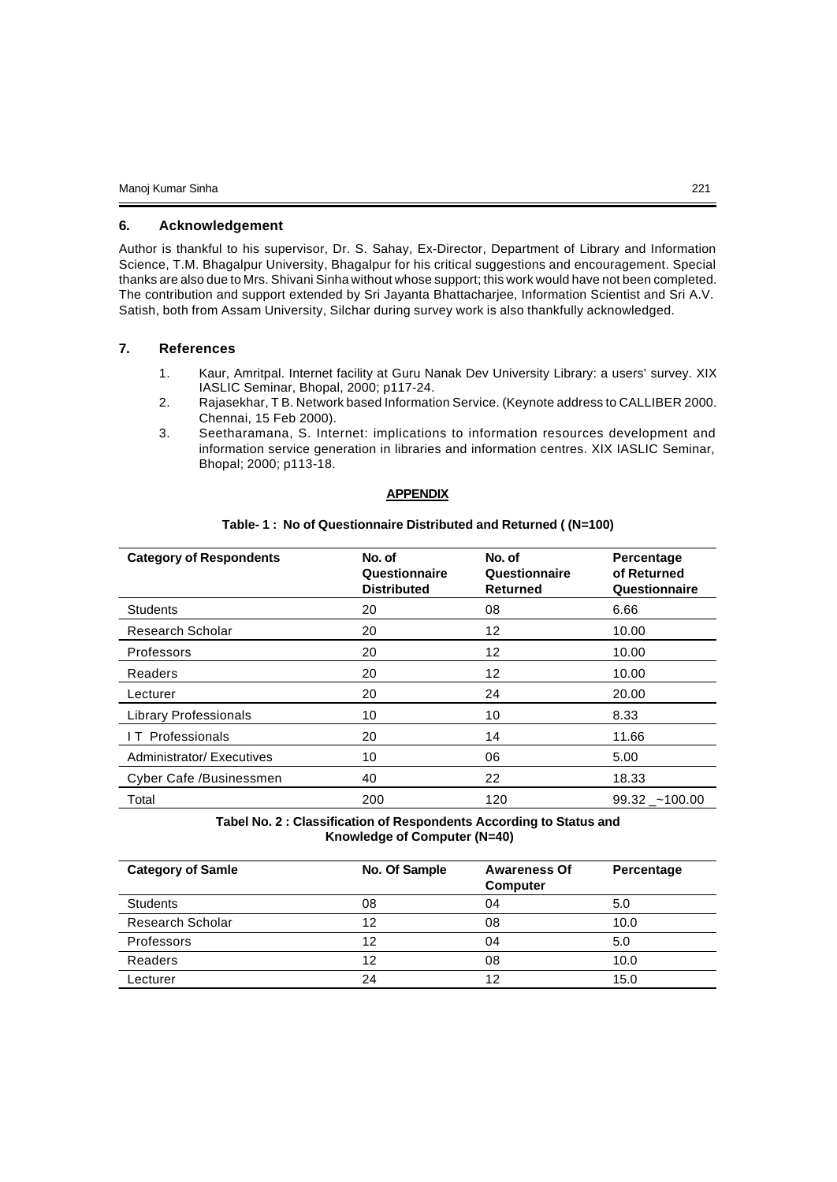### **6. Acknowledgement**

Author is thankful to his supervisor, Dr. S. Sahay, Ex-Director, Department of Library and Information Science, T.M. Bhagalpur University, Bhagalpur for his critical suggestions and encouragement. Special thanks are also due to Mrs. Shivani Sinha without whose support; this work would have not been completed. The contribution and support extended by Sri Jayanta Bhattacharjee, Information Scientist and Sri A.V. Satish, both from Assam University, Silchar during survey work is also thankfully acknowledged.

# **7. References**

- 1. Kaur, Amritpal. Internet facility at Guru Nanak Dev University Library: a users' survey. XIX IASLIC Seminar, Bhopal, 2000; p117-24.
- 2. Rajasekhar, T B. Network based Information Service. (Keynote address to CALLIBER 2000. Chennai, 15 Feb 2000).
- 3. Seetharamana, S. Internet: implications to information resources development and information service generation in libraries and information centres. XIX IASLIC Seminar, Bhopal; 2000; p113-18.

#### **APPENDIX**

#### **Table- 1 : No of Questionnaire Distributed and Returned ( (N=100)**

| <b>Category of Respondents</b> | No. of<br>Questionnaire<br><b>Distributed</b> | No. of<br>Questionnaire<br><b>Returned</b> | Percentage<br>of Returned<br>Questionnaire |
|--------------------------------|-----------------------------------------------|--------------------------------------------|--------------------------------------------|
| <b>Students</b>                | 20                                            | 08                                         | 6.66                                       |
| Research Scholar               | 20                                            | 12                                         | 10.00                                      |
| Professors                     | 20                                            | 12                                         | 10.00                                      |
| Readers                        | 20                                            | 12                                         | 10.00                                      |
| Lecturer                       | 20                                            | 24                                         | 20.00                                      |
| <b>Library Professionals</b>   | 10                                            | 10                                         | 8.33                                       |
| <b>IT Professionals</b>        | 20                                            | 14                                         | 11.66                                      |
| Administrator/Executives       | 10                                            | 06                                         | 5.00                                       |
| Cyber Cafe /Businessmen        | 40                                            | 22                                         | 18.33                                      |
| Total                          | 200                                           | 120                                        | $99.32 - 100.00$                           |

**Tabel No. 2 : Classification of Respondents According to Status and Knowledge of Computer (N=40)**

| <b>Category of Samle</b> | No. Of Sample | <b>Awareness Of</b><br><b>Computer</b> | Percentage |
|--------------------------|---------------|----------------------------------------|------------|
| <b>Students</b>          | 08            | 04                                     | 5.0        |
| <b>Research Scholar</b>  | 12            | 08                                     | 10.0       |
| Professors               | 12            | 04                                     | 5.0        |
| Readers                  | 12            | 08                                     | 10.0       |
| Lecturer                 | 24            | 12                                     | 15.0       |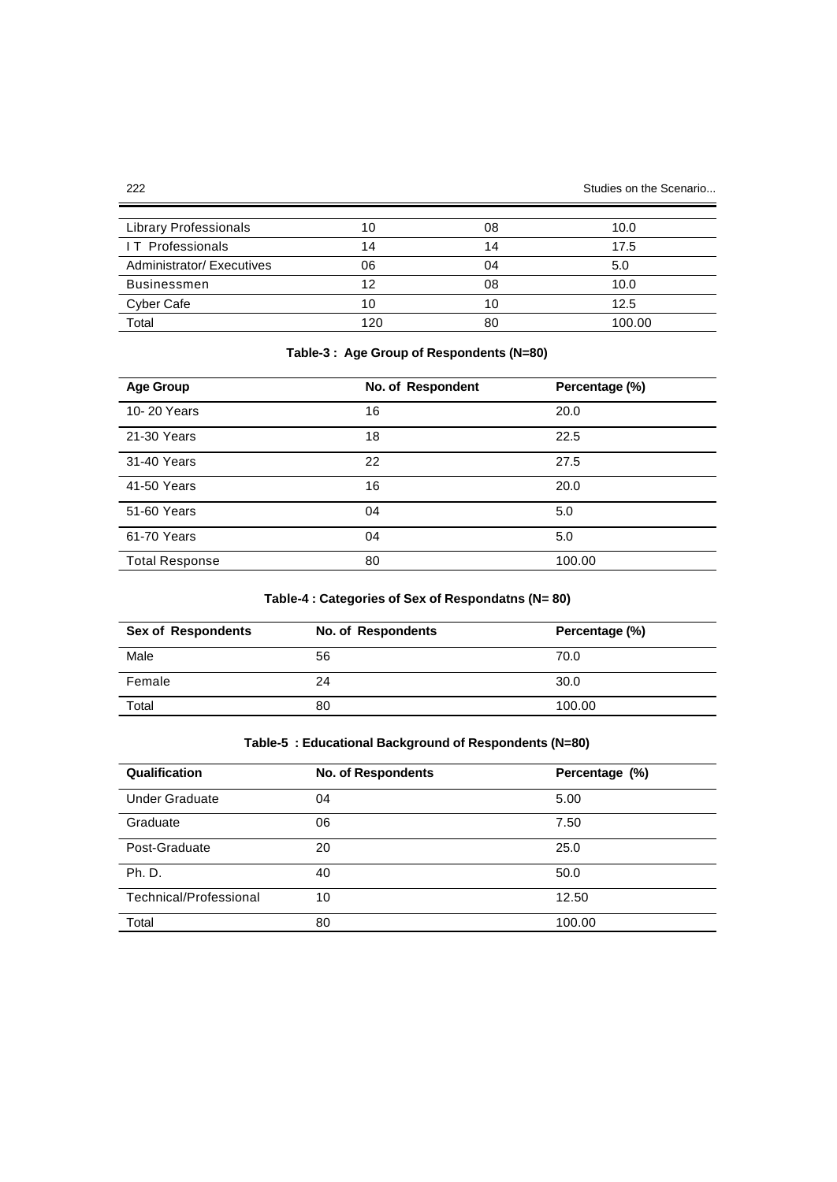| Library Professionals    |     | 08 | 10.0   |
|--------------------------|-----|----|--------|
| <b>IT Professionals</b>  | 14  | 14 | 17.5   |
| Administrator/Executives | 06  | 04 | 5.0    |
| <b>Businessmen</b>       | 12  | 08 | 10.0   |
| Cyber Cafe               | 10  | 10 | 12.5   |
| Total                    | 120 | 80 | 100.00 |

# **Table-3 : Age Group of Respondents (N=80)**

| <b>Age Group</b>      | No. of Respondent | Percentage (%) |
|-----------------------|-------------------|----------------|
| 10-20 Years           | 16                | 20.0           |
| 21-30 Years           | 18                | 22.5           |
| 31-40 Years           | 22                | 27.5           |
| 41-50 Years           | 16                | 20.0           |
| 51-60 Years           | 04                | 5.0            |
| 61-70 Years           | 04                | 5.0            |
| <b>Total Response</b> | 80                | 100.00         |

# **Table-4 : Categories of Sex of Respondatns (N= 80)**

| <b>Sex of Respondents</b> | No. of Respondents | Percentage (%) |
|---------------------------|--------------------|----------------|
| Male                      | 56                 | 70.0           |
| Female                    | 24                 | 30.0           |
| Total                     | 80                 | 100.00         |

# **Table-5 : Educational Background of Respondents (N=80)**

| Qualification          | <b>No. of Respondents</b> | Percentage (%) |
|------------------------|---------------------------|----------------|
| <b>Under Graduate</b>  | 04                        | 5.00           |
| Graduate               | 06                        | 7.50           |
| Post-Graduate          | 20                        | 25.0           |
| Ph. D.                 | 40                        | 50.0           |
| Technical/Professional | 10                        | 12.50          |
| Total                  | 80                        | 100.00         |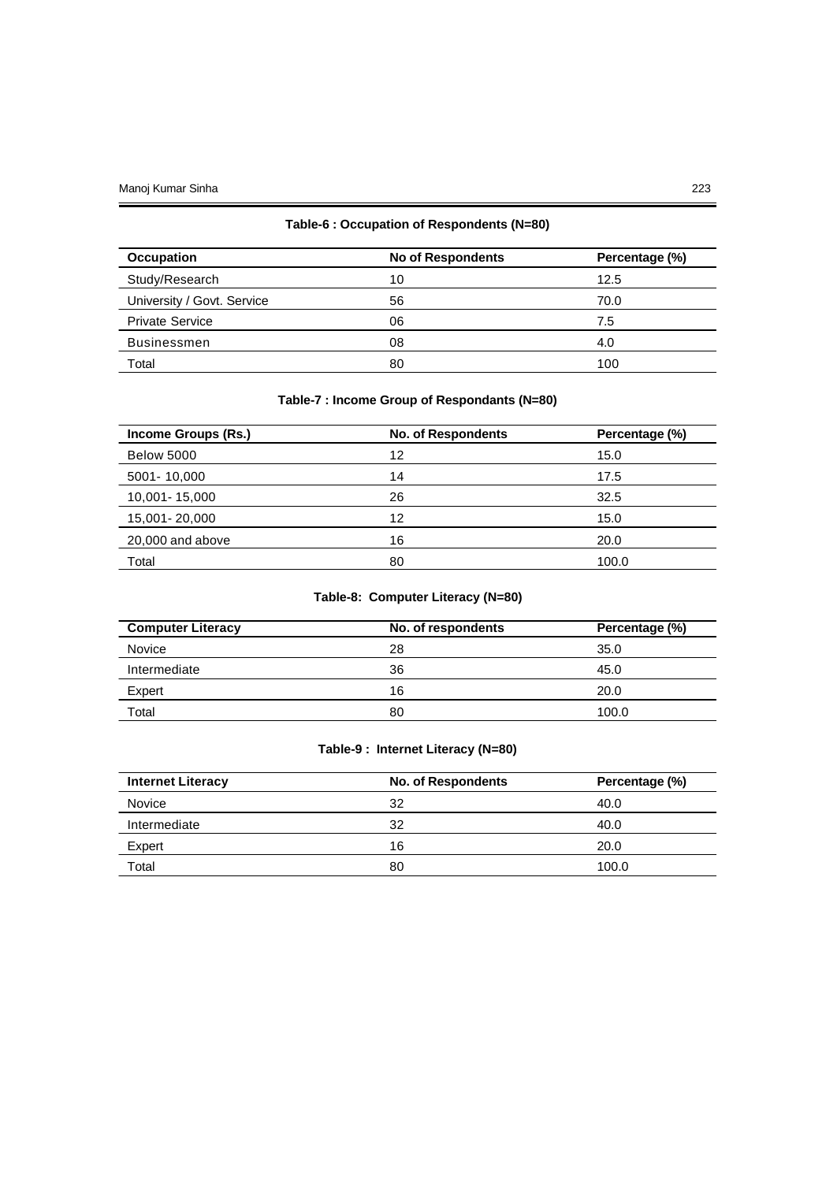# **Table-6 : Occupation of Respondents (N=80)**

| <b>Occupation</b>          | <b>No of Respondents</b> | Percentage (%) |
|----------------------------|--------------------------|----------------|
| Study/Research             | 10                       | 12.5           |
| University / Govt. Service | 56                       | 70.0           |
| <b>Private Service</b>     | 06                       | 7.5            |
| <b>Businessmen</b>         | 08                       | 4.0            |
| Total                      | 80                       | 100            |

# **Table-7 : Income Group of Respondants (N=80)**

| Income Groups (Rs.) | <b>No. of Respondents</b> | Percentage (%) |
|---------------------|---------------------------|----------------|
| <b>Below 5000</b>   | 12                        | 15.0           |
| 5001-10,000         | 14                        | 17.5           |
| 10,001 - 15,000     | 26                        | 32.5           |
| 15,001 - 20,000     | 12                        | 15.0           |
| 20,000 and above    | 16                        | 20.0           |
| Total               | 80                        | 100.0          |

# **Table-8: Computer Literacy (N=80)**

| <b>Computer Literacy</b> | No. of respondents | Percentage (%) |
|--------------------------|--------------------|----------------|
| Novice                   | 28                 | 35.0           |
| Intermediate             | 36                 | 45.0           |
| Expert                   | 16                 | 20.0           |
| Total                    | 80                 | 100.0          |

# **Table-9 : Internet Literacy (N=80)**

| <b>Internet Literacy</b> | <b>No. of Respondents</b> | Percentage (%) |
|--------------------------|---------------------------|----------------|
| Novice                   | 32                        | 40.0           |
| Intermediate             | 32                        | 40.0           |
| Expert                   | 16                        | 20.0           |
| Total                    | 80                        | 100.0          |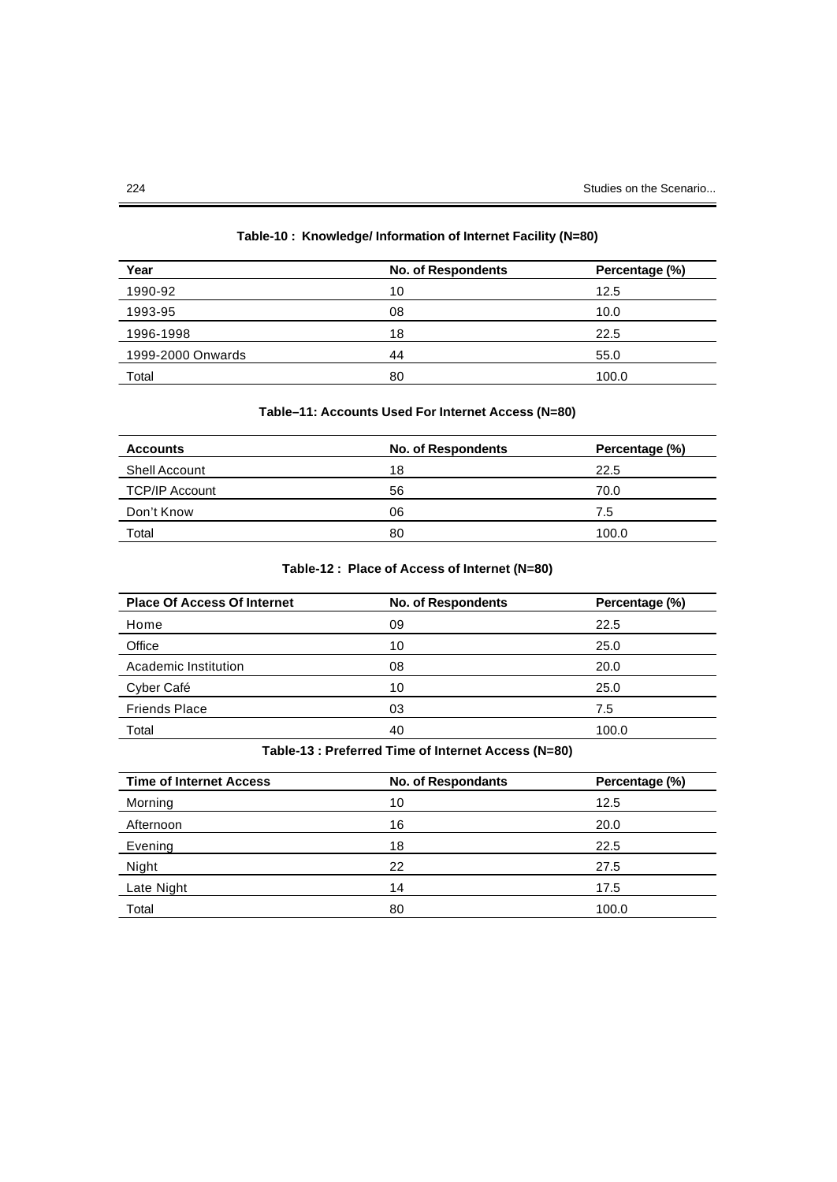| Year              | No. of Respondents | Percentage (%) |
|-------------------|--------------------|----------------|
| 1990-92           | 10                 | 12.5           |
| 1993-95           | 08                 | 10.0           |
| 1996-1998         | 18                 | 22.5           |
| 1999-2000 Onwards | 44                 | 55.0           |
| Total             | 80                 | 100.0          |

# **Table-10 : Knowledge/ Information of Internet Facility (N=80)**

# **Table–11: Accounts Used For Internet Access (N=80)**

| No. of Respondents | Percentage (%) |
|--------------------|----------------|
| 18                 | 22.5           |
| 56                 | 70.0           |
| 06                 | 7.5            |
| 80                 | 100.0          |
|                    |                |

# **Table-12 : Place of Access of Internet (N=80)**

| <b>Place Of Access Of Internet</b> | <b>No. of Respondents</b> | Percentage (%) |
|------------------------------------|---------------------------|----------------|
| Home                               | 09                        | 22.5           |
| Office                             | 10                        | 25.0           |
| Academic Institution               | 08                        | 20.0           |
| Cyber Café                         | 10                        | 25.0           |
| <b>Friends Place</b>               | 03                        | 7.5            |
| Total                              | 40                        | 100.0          |
|                                    |                           |                |

# **Table-13 : Preferred Time of Internet Access (N=80)**

| <b>Time of Internet Access</b> | <b>No. of Respondants</b> | Percentage (%) |
|--------------------------------|---------------------------|----------------|
| Morning                        | 10                        | 12.5           |
| Afternoon                      | 16                        | 20.0           |
| Evening                        | 18                        | 22.5           |
| Night                          | 22                        | 27.5           |
| Late Night                     | 14                        | 17.5           |
| Total                          | 80                        | 100.0          |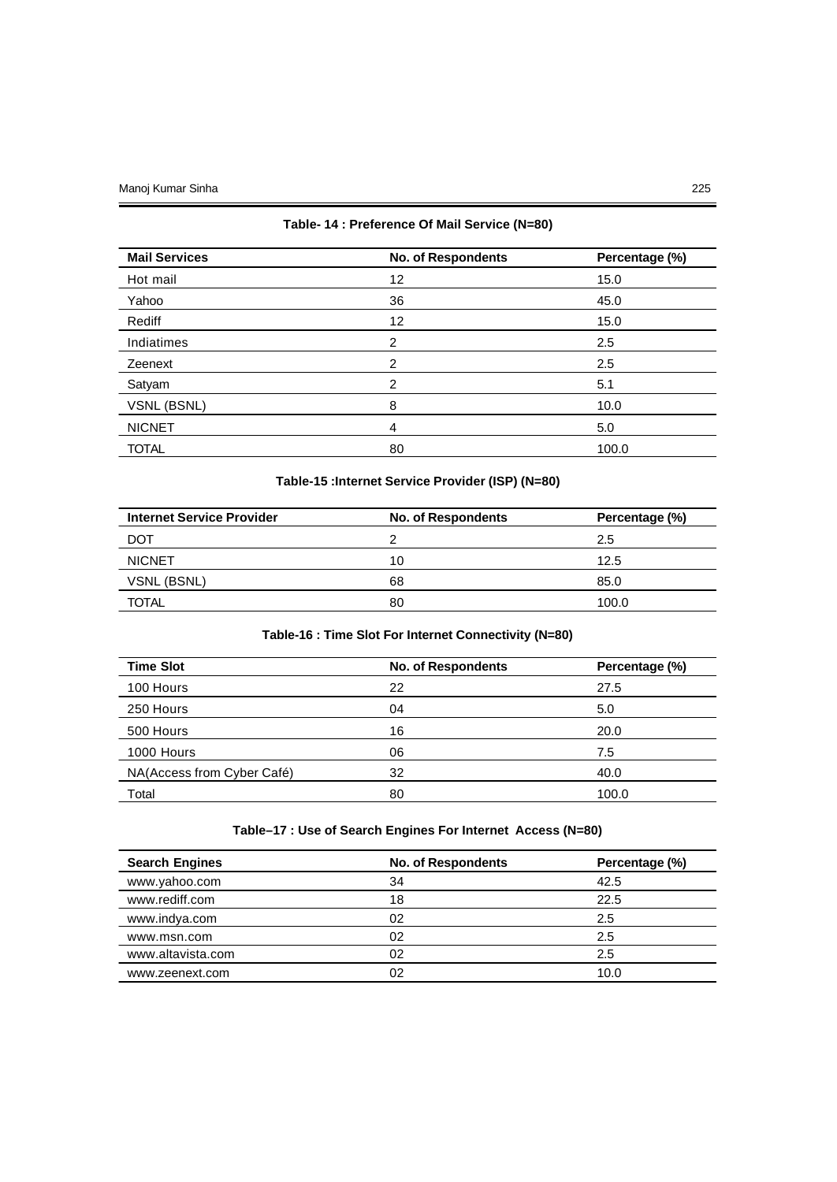# **Table- 14 : Preference Of Mail Service (N=80)**

| <b>Mail Services</b> | <b>No. of Respondents</b> | Percentage (%) |
|----------------------|---------------------------|----------------|
| Hot mail             | 12                        | 15.0           |
| Yahoo                | 36                        | 45.0           |
| Rediff               | 12                        | 15.0           |
| Indiatimes           | 2                         | 2.5            |
| Zeenext              | 2                         | 2.5            |
| Satyam               | 2                         | 5.1            |
| VSNL (BSNL)          | 8                         | 10.0           |
| <b>NICNET</b>        | 4                         | 5.0            |
| <b>TOTAL</b>         | 80                        | 100.0          |

# **Table-15 :Internet Service Provider (ISP) (N=80)**

| <b>Internet Service Provider</b> | <b>No. of Respondents</b> | Percentage (%) |
|----------------------------------|---------------------------|----------------|
| DOT                              |                           | 2.5            |
| <b>NICNET</b>                    | 10                        | 12.5           |
| VSNL (BSNL)                      | 68                        | 85.0           |
| TOTAL                            | 80                        | 100.0          |

# **Table-16 : Time Slot For Internet Connectivity (N=80)**

| <b>Time Slot</b>           | <b>No. of Respondents</b> | Percentage (%) |
|----------------------------|---------------------------|----------------|
| 100 Hours                  | 22                        | 27.5           |
| 250 Hours                  | 04                        | 5.0            |
| 500 Hours                  | 16                        | 20.0           |
| 1000 Hours                 | 06                        | 7.5            |
| NA(Access from Cyber Café) | 32                        | 40.0           |
| Total                      | 80                        | 100.0          |

# **Table–17 : Use of Search Engines For Internet Access (N=80)**

| <b>Search Engines</b> | No. of Respondents | Percentage (%) |
|-----------------------|--------------------|----------------|
| www.yahoo.com         | 34                 | 42.5           |
| www.rediff.com        | 18                 | 22.5           |
| www.indya.com         | 02                 | 2.5            |
| www.msn.com           | 02                 | 2.5            |
| www.altavista.com     | 02                 | 2.5            |
| www.zeenext.com       | 02                 | 10.0           |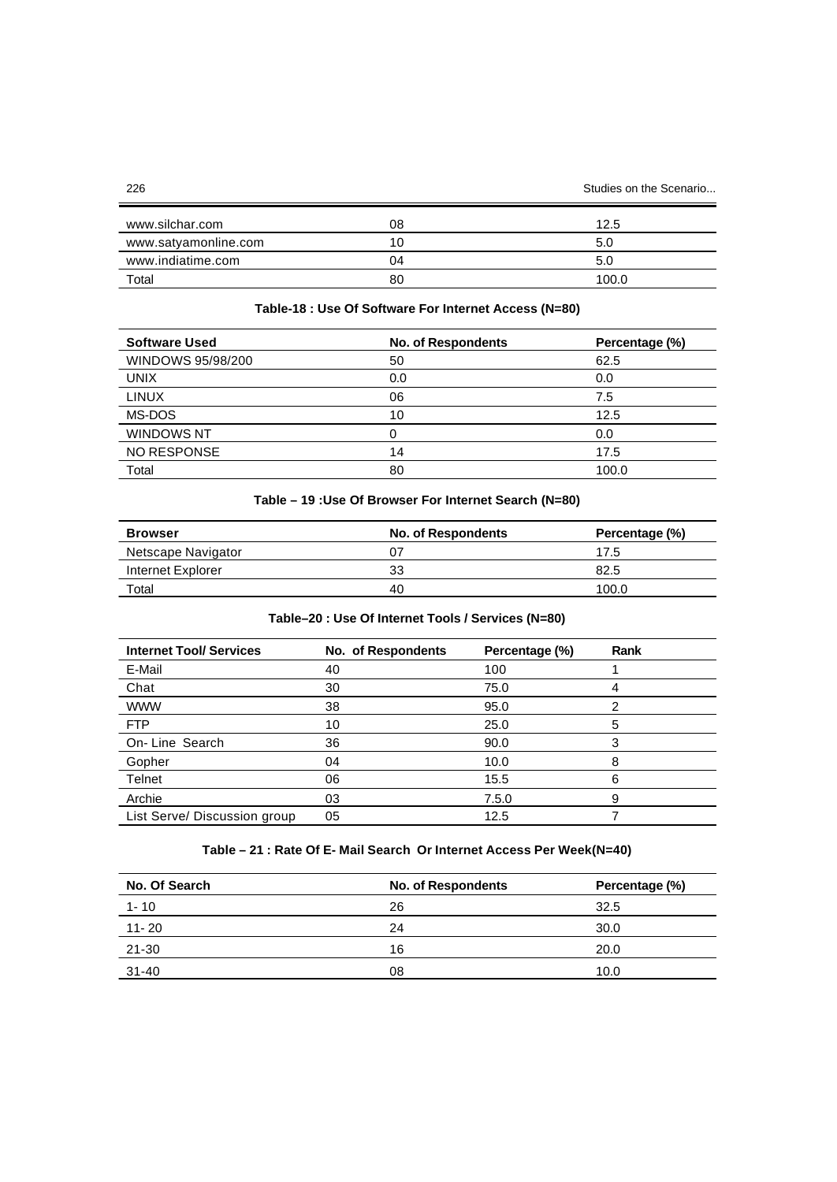| www.silchar.com      | 80  | 12.5  |
|----------------------|-----|-------|
| www.satyamonline.com | 10. | 5.0   |
| www.indiatime.com    | 04  | 5.0   |
| Total                | 80  | 100.0 |

# **Table-18 : Use Of Software For Internet Access (N=80)**

| <b>Software Used</b> | No. of Respondents | Percentage (%) |
|----------------------|--------------------|----------------|
| WINDOWS 95/98/200    | 50                 | 62.5           |
| <b>UNIX</b>          | 0.0                | 0.0            |
| <b>LINUX</b>         | 06                 | 7.5            |
| MS-DOS               | 10                 | 12.5           |
| <b>WINDOWS NT</b>    |                    | 0.0            |
| <b>NO RESPONSE</b>   | 14                 | 17.5           |
| Total                | 80                 | 100.0          |

# **Table – 19 :Use Of Browser For Internet Search (N=80)**

| <b>Browser</b>     | <b>No. of Respondents</b> | Percentage (%) |
|--------------------|---------------------------|----------------|
| Netscape Navigator |                           | 17.5           |
| Internet Explorer  | 33                        | 82.5           |
| Total              | 40                        | 100.0          |

# **Table–20 : Use Of Internet Tools / Services (N=80)**

| <b>Internet Tool/ Services</b> | No. of Respondents | Percentage (%) | Rank |
|--------------------------------|--------------------|----------------|------|
| E-Mail                         | 40                 | 100            |      |
| Chat                           | 30                 | 75.0           |      |
| <b>WWW</b>                     | 38                 | 95.0           | 2    |
| <b>FTP</b>                     | 10                 | 25.0           | 5    |
| On-Line Search                 | 36                 | 90.0           | 3    |
| Gopher                         | 04                 | 10.0           | 8    |
| Telnet                         | 06                 | 15.5           | 6    |
| Archie                         | 03                 | 7.5.0          | 9    |
| List Serve/ Discussion group   | 05                 | 12.5           |      |
|                                |                    |                |      |

# **Table – 21 : Rate Of E- Mail Search Or Internet Access Per Week(N=40)**

| No. Of Search | <b>No. of Respondents</b> | Percentage (%) |
|---------------|---------------------------|----------------|
| $1 - 10$      | 26                        | 32.5           |
| $11 - 20$     | 24                        | 30.0           |
| $21 - 30$     | 16                        | 20.0           |
| 31-40         | 08                        | 10.0           |